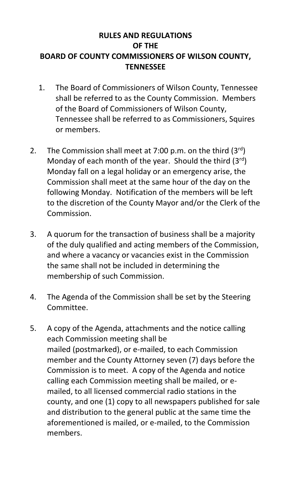## **RULES AND REGULATIONS OF THE BOARD OF COUNTY COMMISSIONERS OF WILSON COUNTY, TENNESSEE**

- 1. The Board of Commissioners of Wilson County, Tennessee shall be referred to as the County Commission. Members of the Board of Commissioners of Wilson County, Tennessee shall be referred to as Commissioners, Squires or members.
- 2. The Commission shall meet at 7:00 p.m. on the third  $(3^{rd})$ Monday of each month of the year. Should the third  $(3<sup>rd</sup>)$ Monday fall on a legal holiday or an emergency arise, the Commission shall meet at the same hour of the day on the following Monday. Notification of the members will be left to the discretion of the County Mayor and/or the Clerk of the Commission.
- 3. A quorum for the transaction of business shall be a majority of the duly qualified and acting members of the Commission, and where a vacancy or vacancies exist in the Commission the same shall not be included in determining the membership of such Commission.
- 4. The Agenda of the Commission shall be set by the Steering Committee.
- 5. A copy of the Agenda, attachments and the notice calling each Commission meeting shall be mailed (postmarked), or e-mailed, to each Commission member and the County Attorney seven (7) days before the Commission is to meet. A copy of the Agenda and notice calling each Commission meeting shall be mailed, or emailed, to all licensed commercial radio stations in the county, and one (1) copy to all newspapers published for sale and distribution to the general public at the same time the aforementioned is mailed, or e-mailed, to the Commission members.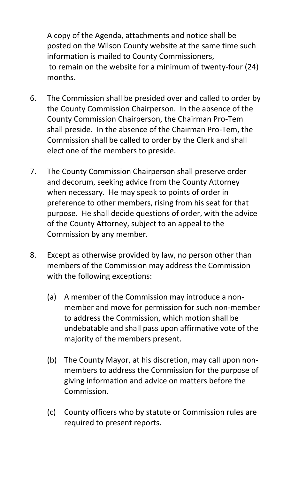A copy of the Agenda, attachments and notice shall be posted on the Wilson County website at the same time such information is mailed to County Commissioners, to remain on the website for a minimum of twenty-four (24) months.

- 6. The Commission shall be presided over and called to order by the County Commission Chairperson. In the absence of the County Commission Chairperson, the Chairman Pro-Tem shall preside. In the absence of the Chairman Pro-Tem, the Commission shall be called to order by the Clerk and shall elect one of the members to preside.
- 7. The County Commission Chairperson shall preserve order and decorum, seeking advice from the County Attorney when necessary. He may speak to points of order in preference to other members, rising from his seat for that purpose. He shall decide questions of order, with the advice of the County Attorney, subject to an appeal to the Commission by any member.
- 8. Except as otherwise provided by law, no person other than members of the Commission may address the Commission with the following exceptions:
	- (a) A member of the Commission may introduce a nonmember and move for permission for such non-member to address the Commission, which motion shall be undebatable and shall pass upon affirmative vote of the majority of the members present.
	- (b) The County Mayor, at his discretion, may call upon nonmembers to address the Commission for the purpose of giving information and advice on matters before the Commission.
	- (c) County officers who by statute or Commission rules are required to present reports.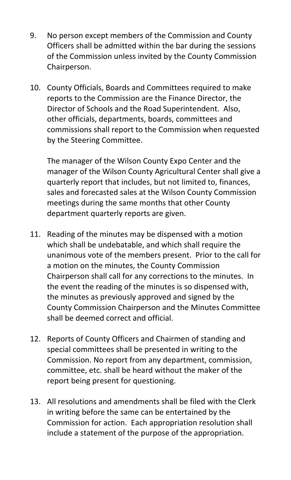- 9. No person except members of the Commission and County Officers shall be admitted within the bar during the sessions of the Commission unless invited by the County Commission Chairperson.
- 10. County Officials, Boards and Committees required to make reports to the Commission are the Finance Director, the Director of Schools and the Road Superintendent. Also, other officials, departments, boards, committees and commissions shall report to the Commission when requested by the Steering Committee.

The manager of the Wilson County Expo Center and the manager of the Wilson County Agricultural Center shall give a quarterly report that includes, but not limited to, finances, sales and forecasted sales at the Wilson County Commission meetings during the same months that other County department quarterly reports are given.

- 11. Reading of the minutes may be dispensed with a motion which shall be undebatable, and which shall require the unanimous vote of the members present. Prior to the call for a motion on the minutes, the County Commission Chairperson shall call for any corrections to the minutes. In the event the reading of the minutes is so dispensed with, the minutes as previously approved and signed by the County Commission Chairperson and the Minutes Committee shall be deemed correct and official.
- 12. Reports of County Officers and Chairmen of standing and special committees shall be presented in writing to the Commission. No report from any department, commission, committee, etc. shall be heard without the maker of the report being present for questioning.
- 13. All resolutions and amendments shall be filed with the Clerk in writing before the same can be entertained by the Commission for action. Each appropriation resolution shall include a statement of the purpose of the appropriation.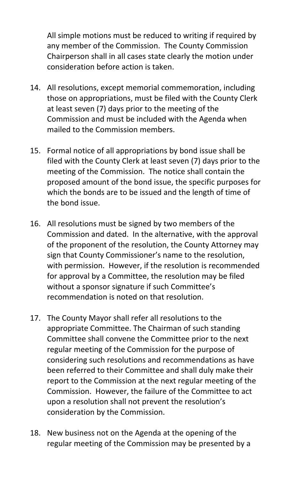All simple motions must be reduced to writing if required by any member of the Commission. The County Commission Chairperson shall in all cases state clearly the motion under consideration before action is taken.

- 14. All resolutions, except memorial commemoration, including those on appropriations, must be filed with the County Clerk at least seven (7) days prior to the meeting of the Commission and must be included with the Agenda when mailed to the Commission members.
- 15. Formal notice of all appropriations by bond issue shall be filed with the County Clerk at least seven (7) days prior to the meeting of the Commission. The notice shall contain the proposed amount of the bond issue, the specific purposes for which the bonds are to be issued and the length of time of the bond issue.
- 16. All resolutions must be signed by two members of the Commission and dated. In the alternative, with the approval of the proponent of the resolution, the County Attorney may sign that County Commissioner's name to the resolution, with permission. However, if the resolution is recommended for approval by a Committee, the resolution may be filed without a sponsor signature if such Committee's recommendation is noted on that resolution.
- 17. The County Mayor shall refer all resolutions to the appropriate Committee. The Chairman of such standing Committee shall convene the Committee prior to the next regular meeting of the Commission for the purpose of considering such resolutions and recommendations as have been referred to their Committee and shall duly make their report to the Commission at the next regular meeting of the Commission. However, the failure of the Committee to act upon a resolution shall not prevent the resolution's consideration by the Commission.
- 18. New business not on the Agenda at the opening of the regular meeting of the Commission may be presented by a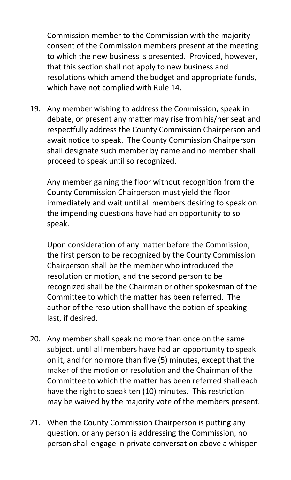Commission member to the Commission with the majority consent of the Commission members present at the meeting to which the new business is presented. Provided, however, that this section shall not apply to new business and resolutions which amend the budget and appropriate funds, which have not complied with Rule 14.

19. Any member wishing to address the Commission, speak in debate, or present any matter may rise from his/her seat and respectfully address the County Commission Chairperson and await notice to speak. The County Commission Chairperson shall designate such member by name and no member shall proceed to speak until so recognized.

Any member gaining the floor without recognition from the County Commission Chairperson must yield the floor immediately and wait until all members desiring to speak on the impending questions have had an opportunity to so speak.

Upon consideration of any matter before the Commission, the first person to be recognized by the County Commission Chairperson shall be the member who introduced the resolution or motion, and the second person to be recognized shall be the Chairman or other spokesman of the Committee to which the matter has been referred. The author of the resolution shall have the option of speaking last, if desired.

- 20. Any member shall speak no more than once on the same subject, until all members have had an opportunity to speak on it, and for no more than five (5) minutes, except that the maker of the motion or resolution and the Chairman of the Committee to which the matter has been referred shall each have the right to speak ten (10) minutes. This restriction may be waived by the majority vote of the members present.
- 21. When the County Commission Chairperson is putting any question, or any person is addressing the Commission, no person shall engage in private conversation above a whisper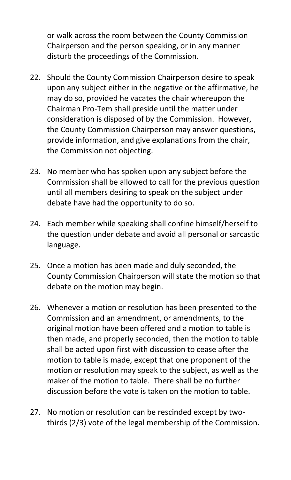or walk across the room between the County Commission Chairperson and the person speaking, or in any manner disturb the proceedings of the Commission.

- 22. Should the County Commission Chairperson desire to speak upon any subject either in the negative or the affirmative, he may do so, provided he vacates the chair whereupon the Chairman Pro-Tem shall preside until the matter under consideration is disposed of by the Commission. However, the County Commission Chairperson may answer questions, provide information, and give explanations from the chair, the Commission not objecting.
- 23. No member who has spoken upon any subject before the Commission shall be allowed to call for the previous question until all members desiring to speak on the subject under debate have had the opportunity to do so.
- 24. Each member while speaking shall confine himself/herself to the question under debate and avoid all personal or sarcastic language.
- 25. Once a motion has been made and duly seconded, the County Commission Chairperson will state the motion so that debate on the motion may begin.
- 26. Whenever a motion or resolution has been presented to the Commission and an amendment, or amendments, to the original motion have been offered and a motion to table is then made, and properly seconded, then the motion to table shall be acted upon first with discussion to cease after the motion to table is made, except that one proponent of the motion or resolution may speak to the subject, as well as the maker of the motion to table. There shall be no further discussion before the vote is taken on the motion to table.
- 27. No motion or resolution can be rescinded except by twothirds (2/3) vote of the legal membership of the Commission.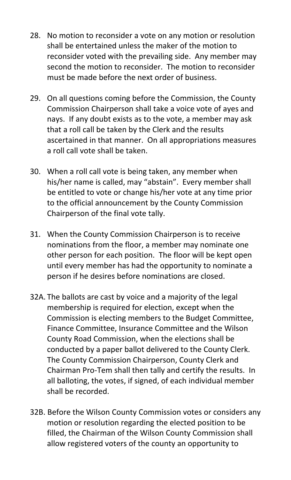- 28. No motion to reconsider a vote on any motion or resolution shall be entertained unless the maker of the motion to reconsider voted with the prevailing side. Any member may second the motion to reconsider. The motion to reconsider must be made before the next order of business.
- 29. On all questions coming before the Commission, the County Commission Chairperson shall take a voice vote of ayes and nays. If any doubt exists as to the vote, a member may ask that a roll call be taken by the Clerk and the results ascertained in that manner. On all appropriations measures a roll call vote shall be taken.
- 30. When a roll call vote is being taken, any member when his/her name is called, may "abstain". Every member shall be entitled to vote or change his/her vote at any time prior to the official announcement by the County Commission Chairperson of the final vote tally.
- 31. When the County Commission Chairperson is to receive nominations from the floor, a member may nominate one other person for each position. The floor will be kept open until every member has had the opportunity to nominate a person if he desires before nominations are closed.
- 32A. The ballots are cast by voice and a majority of the legal membership is required for election, except when the Commission is electing members to the Budget Committee, Finance Committee, Insurance Committee and the Wilson County Road Commission, when the elections shall be conducted by a paper ballot delivered to the County Clerk. The County Commission Chairperson, County Clerk and Chairman Pro-Tem shall then tally and certify the results. In all balloting, the votes, if signed, of each individual member shall be recorded.
- 32B. Before the Wilson County Commission votes or considers any motion or resolution regarding the elected position to be filled, the Chairman of the Wilson County Commission shall allow registered voters of the county an opportunity to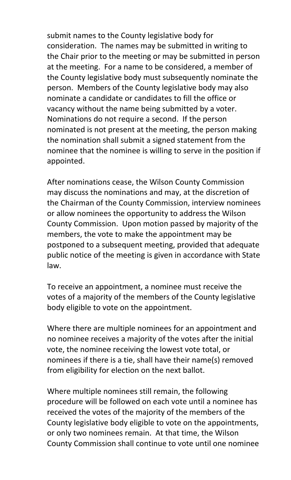submit names to the County legislative body for consideration. The names may be submitted in writing to the Chair prior to the meeting or may be submitted in person at the meeting. For a name to be considered, a member of the County legislative body must subsequently nominate the person. Members of the County legislative body may also nominate a candidate or candidates to fill the office or vacancy without the name being submitted by a voter. Nominations do not require a second. If the person nominated is not present at the meeting, the person making the nomination shall submit a signed statement from the nominee that the nominee is willing to serve in the position if appointed.

After nominations cease, the Wilson County Commission may discuss the nominations and may, at the discretion of the Chairman of the County Commission, interview nominees or allow nominees the opportunity to address the Wilson County Commission. Upon motion passed by majority of the members, the vote to make the appointment may be postponed to a subsequent meeting, provided that adequate public notice of the meeting is given in accordance with State law.

To receive an appointment, a nominee must receive the votes of a majority of the members of the County legislative body eligible to vote on the appointment.

Where there are multiple nominees for an appointment and no nominee receives a majority of the votes after the initial vote, the nominee receiving the lowest vote total, or nominees if there is a tie, shall have their name(s) removed from eligibility for election on the next ballot.

Where multiple nominees still remain, the following procedure will be followed on each vote until a nominee has received the votes of the majority of the members of the County legislative body eligible to vote on the appointments, or only two nominees remain. At that time, the Wilson County Commission shall continue to vote until one nominee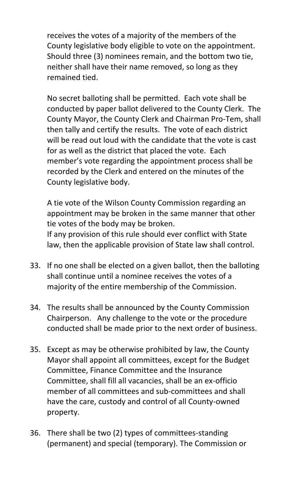receives the votes of a majority of the members of the County legislative body eligible to vote on the appointment. Should three (3) nominees remain, and the bottom two tie, neither shall have their name removed, so long as they remained tied.

No secret balloting shall be permitted. Each vote shall be conducted by paper ballot delivered to the County Clerk. The County Mayor, the County Clerk and Chairman Pro-Tem, shall then tally and certify the results. The vote of each district will be read out loud with the candidate that the vote is cast for as well as the district that placed the vote. Each member's vote regarding the appointment process shall be recorded by the Clerk and entered on the minutes of the County legislative body.

A tie vote of the Wilson County Commission regarding an appointment may be broken in the same manner that other tie votes of the body may be broken. If any provision of this rule should ever conflict with State law, then the applicable provision of State law shall control.

- 33. If no one shall be elected on a given ballot, then the balloting shall continue until a nominee receives the votes of a majority of the entire membership of the Commission.
- 34. The results shall be announced by the County Commission Chairperson. Any challenge to the vote or the procedure conducted shall be made prior to the next order of business.
- 35. Except as may be otherwise prohibited by law, the County Mayor shall appoint all committees, except for the Budget Committee, Finance Committee and the Insurance Committee, shall fill all vacancies, shall be an ex-officio member of all committees and sub-committees and shall have the care, custody and control of all County-owned property.
- 36. There shall be two (2) types of committees-standing (permanent) and special (temporary). The Commission or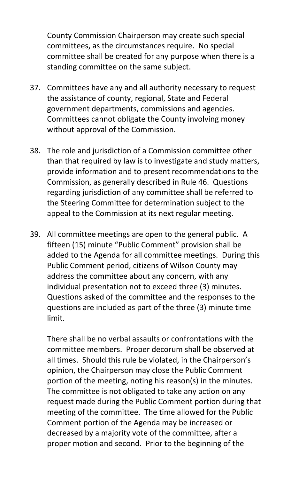County Commission Chairperson may create such special committees, as the circumstances require. No special committee shall be created for any purpose when there is a standing committee on the same subject.

- 37. Committees have any and all authority necessary to request the assistance of county, regional, State and Federal government departments, commissions and agencies. Committees cannot obligate the County involving money without approval of the Commission.
- 38. The role and jurisdiction of a Commission committee other than that required by law is to investigate and study matters, provide information and to present recommendations to the Commission, as generally described in Rule 46. Questions regarding jurisdiction of any committee shall be referred to the Steering Committee for determination subject to the appeal to the Commission at its next regular meeting.
- 39. All committee meetings are open to the general public. A fifteen (15) minute "Public Comment" provision shall be added to the Agenda for all committee meetings. During this Public Comment period, citizens of Wilson County may address the committee about any concern, with any individual presentation not to exceed three (3) minutes. Questions asked of the committee and the responses to the questions are included as part of the three (3) minute time limit.

There shall be no verbal assaults or confrontations with the committee members. Proper decorum shall be observed at all times. Should this rule be violated, in the Chairperson's opinion, the Chairperson may close the Public Comment portion of the meeting, noting his reason(s) in the minutes. The committee is not obligated to take any action on any request made during the Public Comment portion during that meeting of the committee. The time allowed for the Public Comment portion of the Agenda may be increased or decreased by a majority vote of the committee, after a proper motion and second. Prior to the beginning of the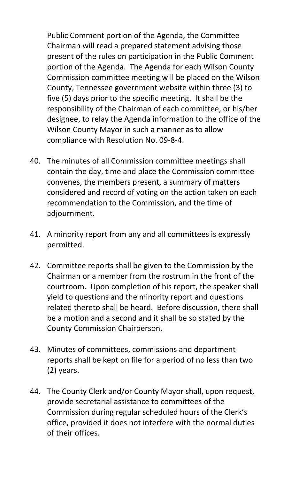Public Comment portion of the Agenda, the Committee Chairman will read a prepared statement advising those present of the rules on participation in the Public Comment portion of the Agenda. The Agenda for each Wilson County Commission committee meeting will be placed on the Wilson County, Tennessee government website within three (3) to five (5) days prior to the specific meeting. It shall be the responsibility of the Chairman of each committee, or his/her designee, to relay the Agenda information to the office of the Wilson County Mayor in such a manner as to allow compliance with Resolution No. 09-8-4.

- 40. The minutes of all Commission committee meetings shall contain the day, time and place the Commission committee convenes, the members present, a summary of matters considered and record of voting on the action taken on each recommendation to the Commission, and the time of adjournment.
- 41. A minority report from any and all committees is expressly permitted.
- 42. Committee reports shall be given to the Commission by the Chairman or a member from the rostrum in the front of the courtroom. Upon completion of his report, the speaker shall yield to questions and the minority report and questions related thereto shall be heard. Before discussion, there shall be a motion and a second and it shall be so stated by the County Commission Chairperson.
- 43. Minutes of committees, commissions and department reports shall be kept on file for a period of no less than two (2) years.
- 44. The County Clerk and/or County Mayor shall, upon request, provide secretarial assistance to committees of the Commission during regular scheduled hours of the Clerk's office, provided it does not interfere with the normal duties of their offices.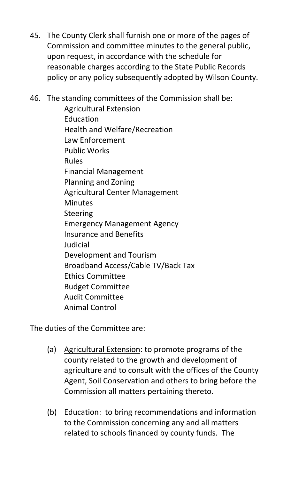45. The County Clerk shall furnish one or more of the pages of Commission and committee minutes to the general public, upon request, in accordance with the schedule for reasonable charges according to the State Public Records policy or any policy subsequently adopted by Wilson County.

46. The standing committees of the Commission shall be:

Agricultural Extension Education Health and Welfare/Recreation Law Enforcement Public Works Rules Financial Management Planning and Zoning Agricultural Center Management Minutes Steering Emergency Management Agency Insurance and Benefits Judicial Development and Tourism Broadband Access/Cable TV/Back Tax Ethics Committee Budget Committee Audit Committee Animal Control

The duties of the Committee are:

- (a) Agricultural Extension: to promote programs of the county related to the growth and development of agriculture and to consult with the offices of the County Agent, Soil Conservation and others to bring before the Commission all matters pertaining thereto.
- (b) Education: to bring recommendations and information to the Commission concerning any and all matters related to schools financed by county funds. The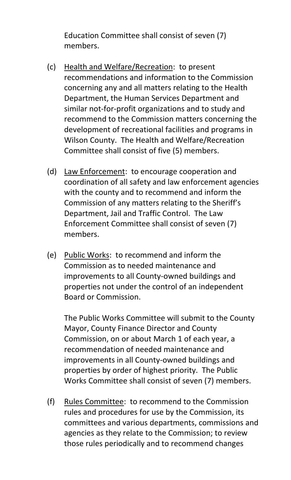Education Committee shall consist of seven (7) members.

- (c) Health and Welfare/Recreation: to present recommendations and information to the Commission concerning any and all matters relating to the Health Department, the Human Services Department and similar not-for-profit organizations and to study and recommend to the Commission matters concerning the development of recreational facilities and programs in Wilson County. The Health and Welfare/Recreation Committee shall consist of five (5) members.
- (d) Law Enforcement: to encourage cooperation and coordination of all safety and law enforcement agencies with the county and to recommend and inform the Commission of any matters relating to the Sheriff's Department, Jail and Traffic Control. The Law Enforcement Committee shall consist of seven (7) members.
- (e) Public Works: to recommend and inform the Commission as to needed maintenance and improvements to all County-owned buildings and properties not under the control of an independent Board or Commission.

The Public Works Committee will submit to the County Mayor, County Finance Director and County Commission, on or about March 1 of each year, a recommendation of needed maintenance and improvements in all County-owned buildings and properties by order of highest priority. The Public Works Committee shall consist of seven (7) members.

(f) Rules Committee: to recommend to the Commission rules and procedures for use by the Commission, its committees and various departments, commissions and agencies as they relate to the Commission; to review those rules periodically and to recommend changes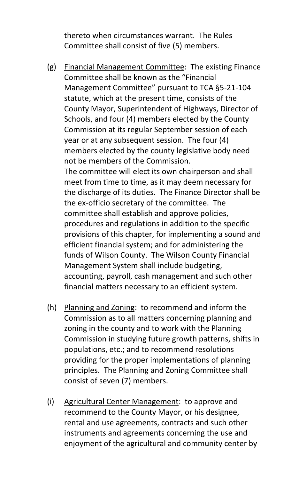thereto when circumstances warrant. The Rules Committee shall consist of five (5) members.

- (g) Financial Management Committee: The existing Finance Committee shall be known as the "Financial Management Committee" pursuant to TCA §5-21-104 statute, which at the present time, consists of the County Mayor, Superintendent of Highways, Director of Schools, and four (4) members elected by the County Commission at its regular September session of each year or at any subsequent session. The four (4) members elected by the county legislative body need not be members of the Commission. The committee will elect its own chairperson and shall meet from time to time, as it may deem necessary for the discharge of its duties. The Finance Director shall be the ex-officio secretary of the committee. The committee shall establish and approve policies, procedures and regulations in addition to the specific provisions of this chapter, for implementing a sound and efficient financial system; and for administering the funds of Wilson County. The Wilson County Financial Management System shall include budgeting, accounting, payroll, cash management and such other financial matters necessary to an efficient system.
- (h) Planning and Zoning: to recommend and inform the Commission as to all matters concerning planning and zoning in the county and to work with the Planning Commission in studying future growth patterns, shifts in populations, etc.; and to recommend resolutions providing for the proper implementations of planning principles. The Planning and Zoning Committee shall consist of seven (7) members.
- (i) Agricultural Center Management: to approve and recommend to the County Mayor, or his designee, rental and use agreements, contracts and such other instruments and agreements concerning the use and enjoyment of the agricultural and community center by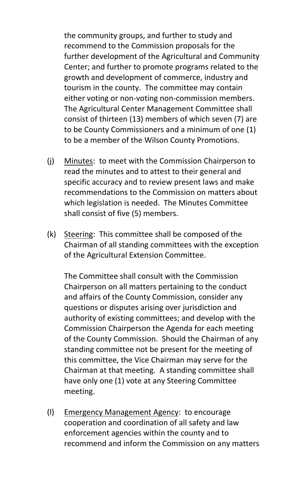the community groups, and further to study and recommend to the Commission proposals for the further development of the Agricultural and Community Center; and further to promote programs related to the growth and development of commerce, industry and tourism in the county. The committee may contain either voting or non-voting non-commission members. The Agricultural Center Management Committee shall consist of thirteen (13) members of which seven (7) are to be County Commissioners and a minimum of one (1) to be a member of the Wilson County Promotions.

- (j) Minutes: to meet with the Commission Chairperson to read the minutes and to attest to their general and specific accuracy and to review present laws and make recommendations to the Commission on matters about which legislation is needed. The Minutes Committee shall consist of five (5) members.
- (k) Steering: This committee shall be composed of the Chairman of all standing committees with the exception of the Agricultural Extension Committee.

The Committee shall consult with the Commission Chairperson on all matters pertaining to the conduct and affairs of the County Commission, consider any questions or disputes arising over jurisdiction and authority of existing committees; and develop with the Commission Chairperson the Agenda for each meeting of the County Commission. Should the Chairman of any standing committee not be present for the meeting of this committee, the Vice Chairman may serve for the Chairman at that meeting. A standing committee shall have only one (1) vote at any Steering Committee meeting.

(l) Emergency Management Agency: to encourage cooperation and coordination of all safety and law enforcement agencies within the county and to recommend and inform the Commission on any matters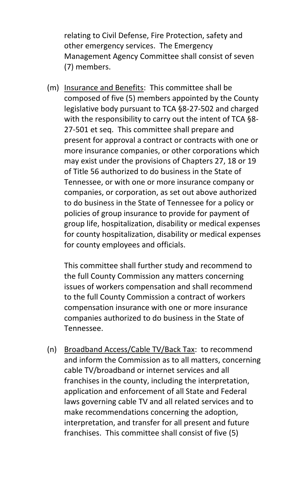relating to Civil Defense, Fire Protection, safety and other emergency services. The Emergency Management Agency Committee shall consist of seven (7) members.

(m) Insurance and Benefits: This committee shall be composed of five (5) members appointed by the County legislative body pursuant to TCA §8-27-502 and charged with the responsibility to carry out the intent of TCA §8- 27-501 et seq. This committee shall prepare and present for approval a contract or contracts with one or more insurance companies, or other corporations which may exist under the provisions of Chapters 27, 18 or 19 of Title 56 authorized to do business in the State of Tennessee, or with one or more insurance company or companies, or corporation, as set out above authorized to do business in the State of Tennessee for a policy or policies of group insurance to provide for payment of group life, hospitalization, disability or medical expenses for county hospitalization, disability or medical expenses for county employees and officials.

This committee shall further study and recommend to the full County Commission any matters concerning issues of workers compensation and shall recommend to the full County Commission a contract of workers compensation insurance with one or more insurance companies authorized to do business in the State of Tennessee.

(n) Broadband Access/Cable TV/Back Tax: to recommend and inform the Commission as to all matters, concerning cable TV/broadband or internet services and all franchises in the county, including the interpretation, application and enforcement of all State and Federal laws governing cable TV and all related services and to make recommendations concerning the adoption, interpretation, and transfer for all present and future franchises. This committee shall consist of five (5)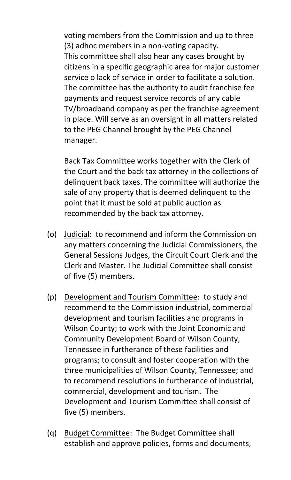voting members from the Commission and up to three (3) adhoc members in a non-voting capacity. This committee shall also hear any cases brought by citizens in a specific geographic area for major customer service o lack of service in order to facilitate a solution. The committee has the authority to audit franchise fee payments and request service records of any cable TV/broadband company as per the franchise agreement in place. Will serve as an oversight in all matters related to the PEG Channel brought by the PEG Channel manager.

Back Tax Committee works together with the Clerk of the Court and the back tax attorney in the collections of delinquent back taxes. The committee will authorize the sale of any property that is deemed delinquent to the point that it must be sold at public auction as recommended by the back tax attorney.

- (o) Judicial: to recommend and inform the Commission on any matters concerning the Judicial Commissioners, the General Sessions Judges, the Circuit Court Clerk and the Clerk and Master. The Judicial Committee shall consist of five (5) members.
- (p) Development and Tourism Committee: to study and recommend to the Commission industrial, commercial development and tourism facilities and programs in Wilson County; to work with the Joint Economic and Community Development Board of Wilson County, Tennessee in furtherance of these facilities and programs; to consult and foster cooperation with the three municipalities of Wilson County, Tennessee; and to recommend resolutions in furtherance of industrial, commercial, development and tourism. The Development and Tourism Committee shall consist of five (5) members.
- (q) Budget Committee: The Budget Committee shall establish and approve policies, forms and documents,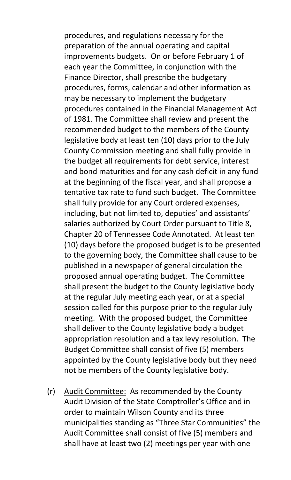procedures, and regulations necessary for the preparation of the annual operating and capital improvements budgets. On or before February 1 of each year the Committee, in conjunction with the Finance Director, shall prescribe the budgetary procedures, forms, calendar and other information as may be necessary to implement the budgetary procedures contained in the Financial Management Act of 1981. The Committee shall review and present the recommended budget to the members of the County legislative body at least ten (10) days prior to the July County Commission meeting and shall fully provide in the budget all requirements for debt service, interest and bond maturities and for any cash deficit in any fund at the beginning of the fiscal year, and shall propose a tentative tax rate to fund such budget. The Committee shall fully provide for any Court ordered expenses, including, but not limited to, deputies' and assistants' salaries authorized by Court Order pursuant to Title 8, Chapter 20 of Tennessee Code Annotated. At least ten (10) days before the proposed budget is to be presented to the governing body, the Committee shall cause to be published in a newspaper of general circulation the proposed annual operating budget. The Committee shall present the budget to the County legislative body at the regular July meeting each year, or at a special session called for this purpose prior to the regular July meeting. With the proposed budget, the Committee shall deliver to the County legislative body a budget appropriation resolution and a tax levy resolution. The Budget Committee shall consist of five (5) members appointed by the County legislative body but they need not be members of the County legislative body.

(r) Audit Committee: As recommended by the County Audit Division of the State Comptroller's Office and in order to maintain Wilson County and its three municipalities standing as "Three Star Communities" the Audit Committee shall consist of five (5) members and shall have at least two (2) meetings per year with one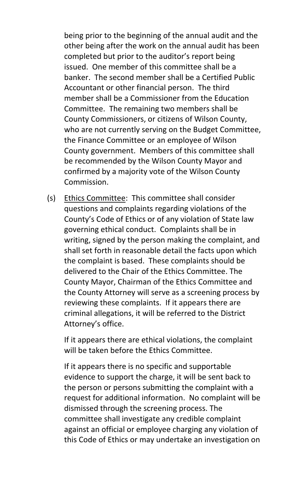being prior to the beginning of the annual audit and the other being after the work on the annual audit has been completed but prior to the auditor's report being issued. One member of this committee shall be a banker. The second member shall be a Certified Public Accountant or other financial person. The third member shall be a Commissioner from the Education Committee. The remaining two members shall be County Commissioners, or citizens of Wilson County, who are not currently serving on the Budget Committee, the Finance Committee or an employee of Wilson County government. Members of this committee shall be recommended by the Wilson County Mayor and confirmed by a majority vote of the Wilson County Commission.

(s) Ethics Committee: This committee shall consider questions and complaints regarding violations of the County's Code of Ethics or of any violation of State law governing ethical conduct. Complaints shall be in writing, signed by the person making the complaint, and shall set forth in reasonable detail the facts upon which the complaint is based. These complaints should be delivered to the Chair of the Ethics Committee. The County Mayor, Chairman of the Ethics Committee and the County Attorney will serve as a screening process by reviewing these complaints. If it appears there are criminal allegations, it will be referred to the District Attorney's office.

If it appears there are ethical violations, the complaint will be taken before the Ethics Committee.

If it appears there is no specific and supportable evidence to support the charge, it will be sent back to the person or persons submitting the complaint with a request for additional information. No complaint will be dismissed through the screening process. The committee shall investigate any credible complaint against an official or employee charging any violation of this Code of Ethics or may undertake an investigation on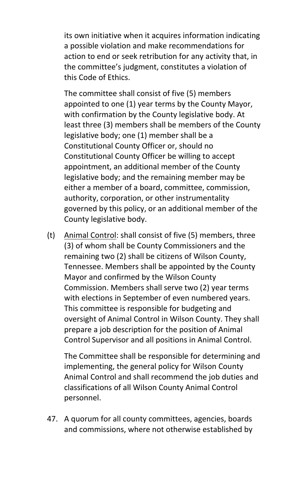its own initiative when it acquires information indicating a possible violation and make recommendations for action to end or seek retribution for any activity that, in the committee's judgment, constitutes a violation of this Code of Ethics.

The committee shall consist of five (5) members appointed to one (1) year terms by the County Mayor, with confirmation by the County legislative body. At least three (3) members shall be members of the County legislative body; one (1) member shall be a Constitutional County Officer or, should no Constitutional County Officer be willing to accept appointment, an additional member of the County legislative body; and the remaining member may be either a member of a board, committee, commission, authority, corporation, or other instrumentality governed by this policy, or an additional member of the County legislative body.

(t) Animal Control: shall consist of five (5) members, three (3) of whom shall be County Commissioners and the remaining two (2) shall be citizens of Wilson County, Tennessee. Members shall be appointed by the County Mayor and confirmed by the Wilson County Commission. Members shall serve two (2) year terms with elections in September of even numbered years. This committee is responsible for budgeting and oversight of Animal Control in Wilson County. They shall prepare a job description for the position of Animal Control Supervisor and all positions in Animal Control.

The Committee shall be responsible for determining and implementing, the general policy for Wilson County Animal Control and shall recommend the job duties and classifications of all Wilson County Animal Control personnel.

47. A quorum for all county committees, agencies, boards and commissions, where not otherwise established by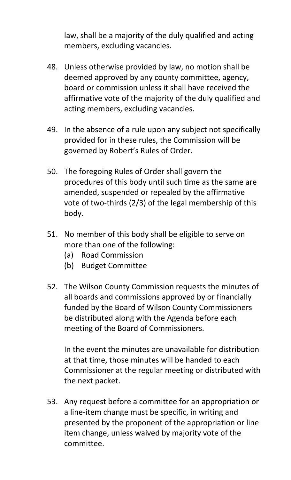law, shall be a majority of the duly qualified and acting members, excluding vacancies.

- 48. Unless otherwise provided by law, no motion shall be deemed approved by any county committee, agency, board or commission unless it shall have received the affirmative vote of the majority of the duly qualified and acting members, excluding vacancies.
- 49. In the absence of a rule upon any subject not specifically provided for in these rules, the Commission will be governed by Robert's Rules of Order.
- 50. The foregoing Rules of Order shall govern the procedures of this body until such time as the same are amended, suspended or repealed by the affirmative vote of two-thirds (2/3) of the legal membership of this body.
- 51. No member of this body shall be eligible to serve on more than one of the following:
	- (a) Road Commission
	- (b) Budget Committee
- 52. The Wilson County Commission requests the minutes of all boards and commissions approved by or financially funded by the Board of Wilson County Commissioners be distributed along with the Agenda before each meeting of the Board of Commissioners.

In the event the minutes are unavailable for distribution at that time, those minutes will be handed to each Commissioner at the regular meeting or distributed with the next packet.

53. Any request before a committee for an appropriation or a line-item change must be specific, in writing and presented by the proponent of the appropriation or line item change, unless waived by majority vote of the committee.